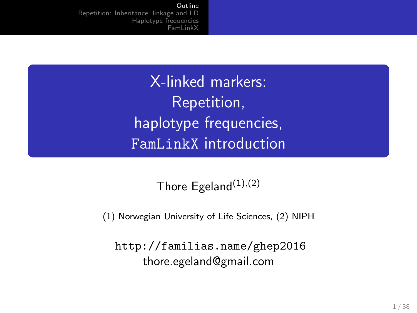> <span id="page-0-0"></span>X-linked markers: Repetition, haplotype frequencies, FamLinkX introduction

> > Thore Egeland $(1)$ , $(2)$

(1) Norwegian University of Life Sciences, (2) NIPH

<http://familias.name/ghep2016> thore.egeland@gmail.com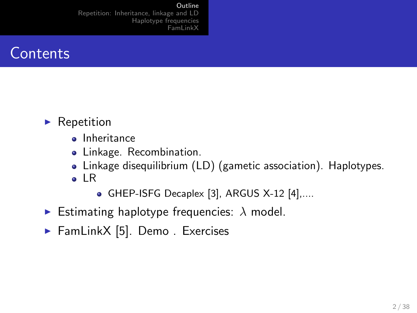**Outline** 

[Repetition: Inheritance, linkage and LD](#page-3-0) [Haplotype frequencies](#page-12-0) [FamLinkX](#page-23-0)



- $\blacktriangleright$  Repetition
	- Inheritance
	- Linkage. Recombination.
	- Linkage disequilibrium (LD) (gametic association). Haplotypes.
	- o IR
		- GHEP-ISFG Decaplex [\[3\]](#page-37-0), ARGUS X-12 [\[4\]](#page-37-1),....
- Estimating haplotype frequencies:  $\lambda$  model.
- $\blacktriangleright$  FamLinkX [\[5\]](#page-37-2). Demo. Exercises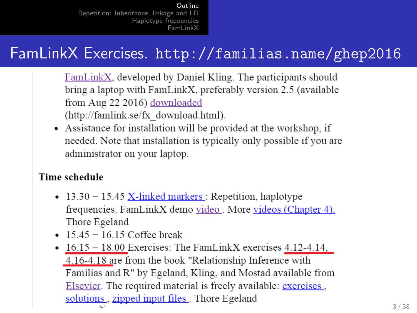# FamLinkX Exercises. <http://familias.name/ghep2016>

- FamLinkX, developed by Daniel Kling. The participants should bring a laptop with FamLinkX, preferably version 2.5 (available from Aug 22 2016) downloaded (http://famlink.se/fx download.html).
- Assistance for installation will be provided at the workshop, if needed. Note that installation is typically only possible if you are administrator on your laptop.

#### **Time schedule**

- $13.30 15.45$  X-linked markers : Repetition, haplotype frequencies. FamLinkX demo video. More videos (Chapter 4). Thore Egeland
- $15.45 16.15$  Coffee break
- $\bullet$  16.15 18.00 Exercises: The FamLinkX exercises 4.12-4.14, 4.16-4.18 are from the book "Relationship Inference with Familias and R" by Egeland, Kling, and Mostad available from Elsevier. The required material is freely available: exercises, solutions, zipped input files. Thore Egeland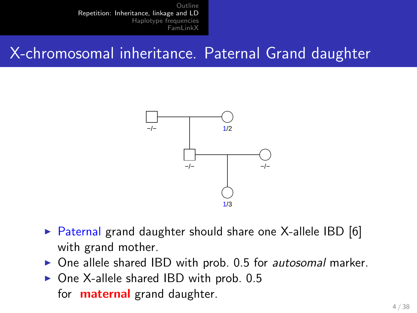## <span id="page-3-0"></span>X-chromosomal inheritance. Paternal Grand daughter



- $\triangleright$  Paternal grand daughter should share one X-allele IBD [\[6\]](#page-37-3) with grand mother.
- $\triangleright$  One allele shared IBD with prob. 0.5 for *autosomal* marker.
- $\triangleright$  One X-allele shared IBD with prob. 0.5 for **maternal** grand daughter.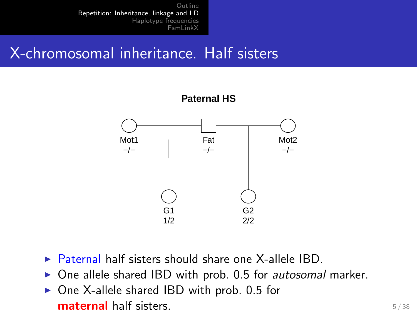#### X-chromosomal inheritance. Half sisters



- $\triangleright$  Paternal half sisters should share one X-allele IBD.
- $\triangleright$  One allele shared IBD with prob. 0.5 for *autosomal* marker.
- $\triangleright$  One X-allele shared IBD with prob. 0.5 for **maternal** half sisters.  $5/38$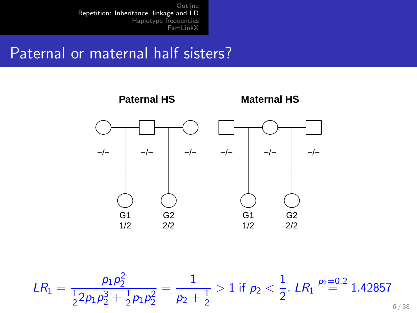### Paternal or maternal half sisters?



$$
LR_1 = \frac{p_1 p_2^2}{\frac{1}{2} 2 p_1 p_2^3 + \frac{1}{2} p_1 p_2^2} = \frac{1}{p_2 + \frac{1}{2}} > 1 \text{ if } p_2 < \frac{1}{2}. \text{ } LR_1 \stackrel{p_2 = 0.2}{=} 1.42857
$$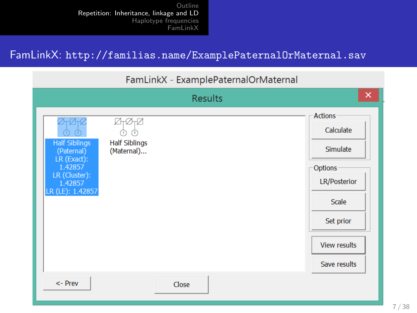#### FamLinkX: <http://familias.name/ExamplePaternalOrMaternal.sav>

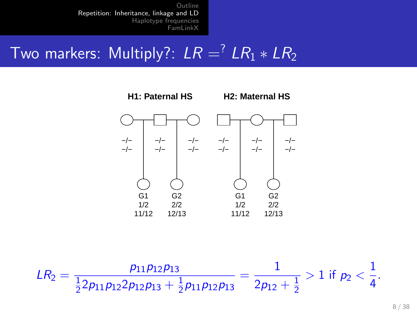# Two markers: Multiply?:  $LR = \frac{7}{1}LR_1 * LR_2$



$$
LR_2=\frac{p_{11}p_{12}p_{13}}{\frac{1}{2}2p_{11}p_{12}2p_{12}p_{13}+\frac{1}{2}p_{11}p_{12}p_{13}}=\frac{1}{2p_{12}+\frac{1}{2}}>1 \text{ if } p_2<\frac{1}{4}.
$$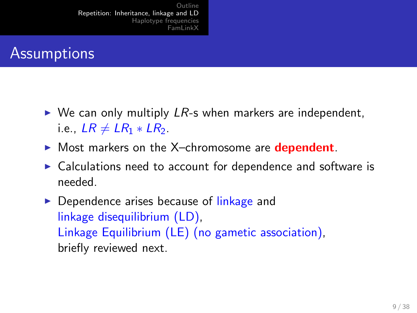#### **Assumptions**

- $\triangleright$  We can only multiply LR-s when markers are independent, i.e.,  $LR \neq LR_1 * LR_2$ .
- $\triangleright$  Most markers on the X-chromosome are **dependent**.
- $\triangleright$  Calculations need to account for dependence and software is needed.
- $\triangleright$  Dependence arises because of linkage and linkage disequilibrium (LD), Linkage Equilibrium (LE) (no gametic association), briefly reviewed next.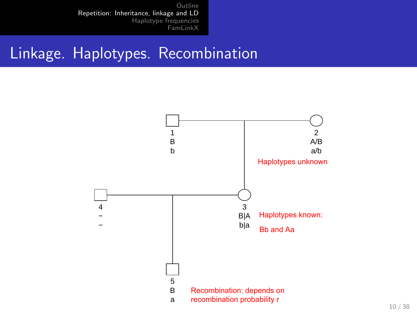#### Linkage. Haplotypes. Recombination

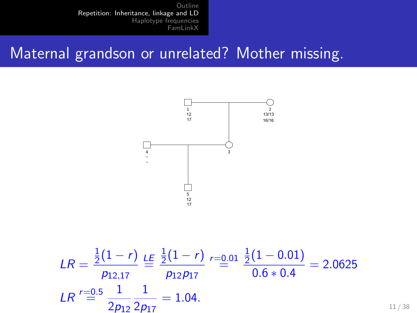#### Maternal grandson or unrelated? Mother missing.

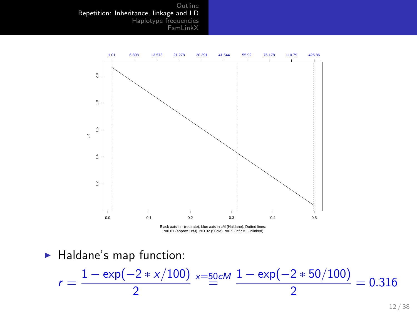

r=0.01 (approx 1cM), r=0.32 (50cM). r=0.5 (inf cM: Unlinked)

 $\blacktriangleright$  Haldane's map function:

$$
r = \frac{1 - \exp(-2 \cdot x/100)}{2} \times \frac{50}{2} = 0.316
$$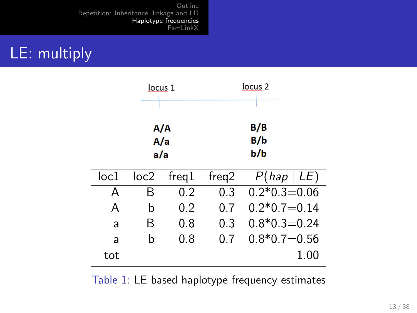# <span id="page-12-0"></span>LE: multiply

| locus 1                        |      |       |       | locus <sub>2</sub> |
|--------------------------------|------|-------|-------|--------------------|
| A/A<br>$\overline{A}/a$<br>a/a |      |       |       | B/B<br>B/b<br>b/b  |
| loc1                           | loc2 | freq1 | freq2 | P(hap   LE)        |
| A                              | В    | 0.2   | 0.3   | $0.2*0.3=0.06$     |
| Α                              | b    | 0.2   | 0.7   | $0.2*0.7=0.14$     |
| a                              | B    | 0.8   | 0.3   | $0.8*0.3=0.24$     |
| a                              | b    | 0.8   | 0.7   | $0.8*0.7=0.56$     |
| tot                            |      |       |       | 1.00               |

Table 1: LE based haplotype frequency estimates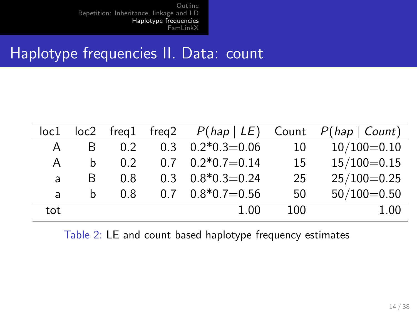#### Haplotype frequencies II. Data: count

| loc1 |   |     |                      |     | $loc2$ freq1 freq2 $P(hap   LE)$ Count $P(hap   Count)$ |
|------|---|-----|----------------------|-----|---------------------------------------------------------|
| A    | B | 02  | $0.3$ $0.2*0.3=0.06$ | 10  | $10/100=0.10$                                           |
| A    | b | 0.2 | $0.7$ $0.2*0.7=0.14$ | 15  | $15/100 = 0.15$                                         |
| a    | B | 0.8 | $0.3$ $0.8*0.3=0.24$ | 25  | $25/100=0.25$                                           |
| a    | h | 0.8 | $0.7$ $0.8*0.7=0.56$ | 50  | $50/100 = 0.50$                                         |
| tot  |   |     | 1.00                 | 100 | 1.00                                                    |

Table 2: LE and count based haplotype frequency estimates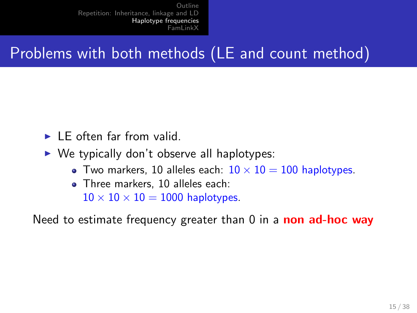# Problems with both methods (LE and count method)

- $\blacktriangleright$  LE often far from valid.
- $\triangleright$  We typically don't observe all haplotypes:
	- Two markers, 10 alleles each:  $10 \times 10 = 100$  haplotypes.
	- Three markers, 10 alleles each:  $10 \times 10 \times 10 = 1000$  haplotypes.

Need to estimate frequency greater than  $0$  in a **non ad-hoc way**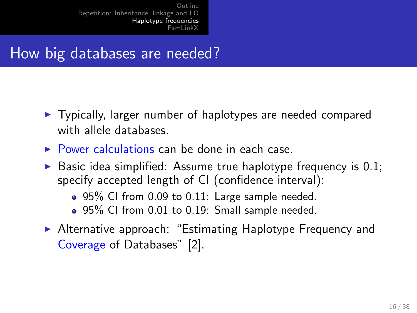## How big databases are needed?

- $\triangleright$  Typically, larger number of haplotypes are needed compared with allele databases.
- $\triangleright$  Power calculations can be done in each case.
- $\triangleright$  Basic idea simplified: Assume true haplotype frequency is 0.1; specify accepted length of CI (confidence interval):
	- 95% CI from 0.09 to 0.11: Large sample needed.
	- 95% CI from 0.01 to 0.19: Small sample needed.
- ▶ Alternative approach: "Estimating Haplotype Frequency and Coverage of Databases" [\[2\]](#page-37-4).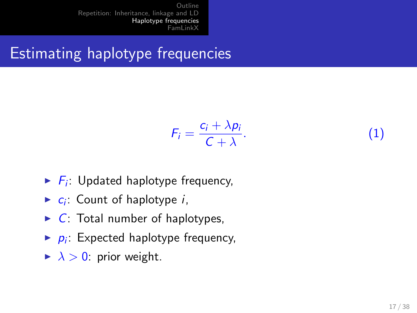# Estimating haplotype frequencies

$$
F_i = \frac{c_i + \lambda p_i}{C + \lambda}.
$$
 (1)

- $\blacktriangleright$   $F_i$ : Updated haplotype frequency,
- $\blacktriangleright$   $c_i$ : Count of haplotype *i*,
- $\triangleright$  C: Total number of haplotypes,
- $\blacktriangleright$   $p_i$ : Expected haplotype frequency,
- $\blacktriangleright$   $\lambda > 0$ : prior weight.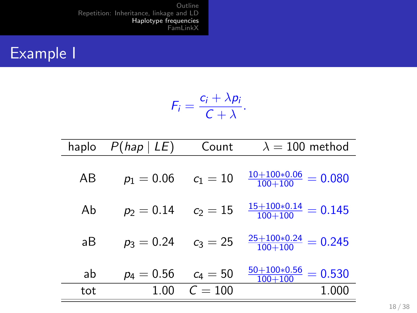## Example I

$$
F_i=\frac{c_i+\lambda p_i}{C+\lambda}.
$$

| haplo | P(hap   LE)  | Count      | $\lambda = 100$ method                |
|-------|--------------|------------|---------------------------------------|
| AВ    | $p_1 = 0.06$ | $c_1 = 10$ | $\frac{10+100*0.06}{100+100} = 0.080$ |
| Ab    | $p_2 = 0.14$ | $c_2 = 15$ | $\frac{15+100*0.14}{100+100} = 0.145$ |
| аB    | $p_3 = 0.24$ | $c_3 = 25$ | $\frac{25+100*0.24}{100+100} = 0.245$ |
| ab    | $p_4 = 0.56$ | $c_4 = 50$ | $\frac{50+100*0.56}{100+100} = 0.530$ |
| tot   | 1.00         | $C = 100$  | 1.000                                 |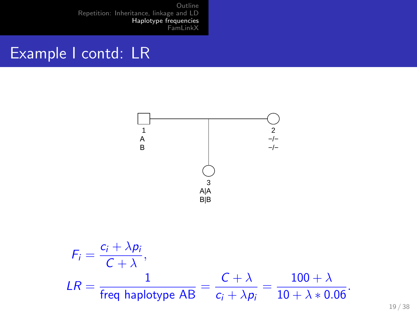#### Example I contd: LR



19 / 38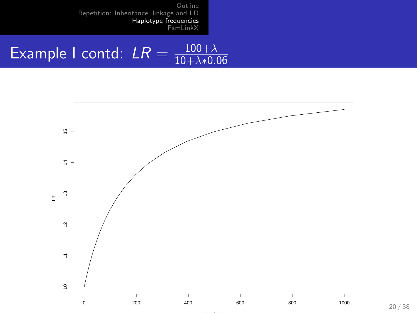#### Example I contd:  $LR = \frac{100 + \lambda}{10 + \lambda * 0}$  $10 + \lambda * 0.06$



20 / 38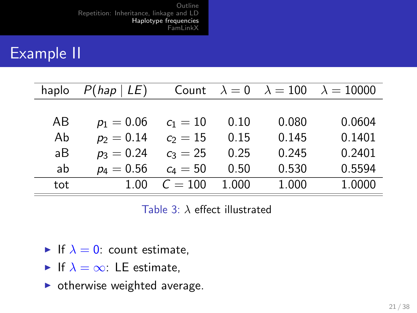## Example II

| haplo | P(hap   LE)  |            |       |       | Count $\lambda = 0$ $\lambda = 100$ $\lambda = 10000$ |
|-------|--------------|------------|-------|-------|-------------------------------------------------------|
|       |              |            |       |       |                                                       |
| AB    | $p_1 = 0.06$ | $c_1 = 10$ | 0.10  | 0.080 | 0.0604                                                |
| Ab    | $p_2 = 0.14$ | $c_2 = 15$ | 0.15  | 0.145 | 0.1401                                                |
| аB    | $p_3 = 0.24$ | $c_3 = 25$ | 0.25  | 0.245 | 0.2401                                                |
| ab    | $p_4 = 0.56$ | $c_4 = 50$ | 0.50  | 0.530 | 0.5594                                                |
| tot   | 1.00         | $C = 100$  | 1.000 | 1.000 | 1.0000                                                |

Table 3:  $\lambda$  effect illustrated

- If  $\lambda = 0$ : count estimate,
- If  $\lambda = \infty$ : LE estimate,
- $\triangleright$  otherwise weighted average.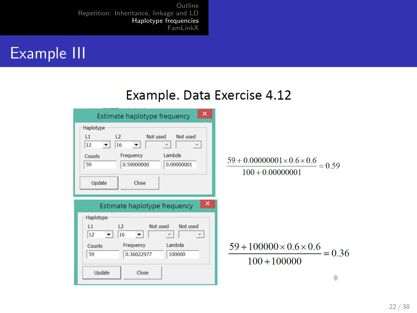

#### Example. Data Exercise 4.12

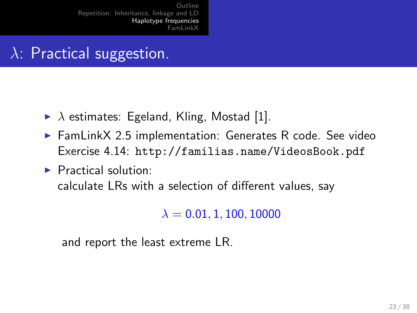# $\lambda$ : Practical suggestion.

- $\triangleright$   $\lambda$  estimates: Egeland, Kling, Mostad [\[1\]](#page-37-5).
- $\blacktriangleright$  FamLinkX 2.5 implementation: Generates R code. See video Exercise 4.14: <http://familias.name/VideosBook.pdf>
- $\blacktriangleright$  Practical solution: calculate LRs with a selection of different values, say

 $\lambda = 0.01, 1, 100, 10000$ 

and report the least extreme LR.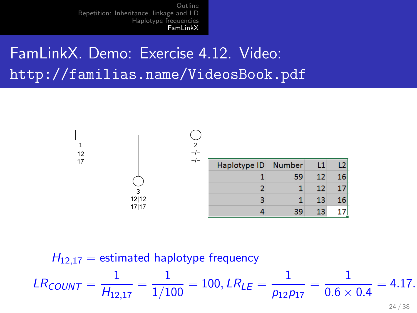# <span id="page-23-0"></span>FamLinkX. Demo: Exercise 4.12. Video: <http://familias.name/VideosBook.pdf>



$$
H_{12,17} = \text{estimated haplotype frequency}
$$
  

$$
LR_{COUNT} = \frac{1}{H_{12,17}} = \frac{1}{1/100} = 100, \, LR_{LE} = \frac{1}{p_{12}p_{17}} = \frac{1}{0.6 \times 0.4} = 4.17.
$$

24 / 38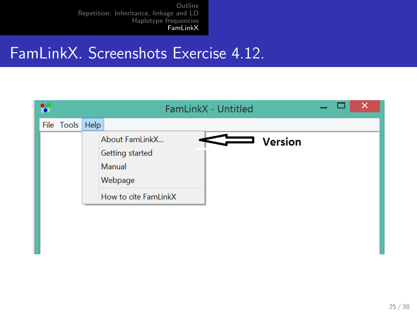### FamLinkX. Screenshots Exercise 4.12.

| æ               | FamLinkX - Untitled                                                            | ↗              |
|-----------------|--------------------------------------------------------------------------------|----------------|
| File Tools Help |                                                                                |                |
|                 | About FamLinkX<br>Getting started<br>Manual<br>Webpage<br>How to cite FamLinkX | <b>Version</b> |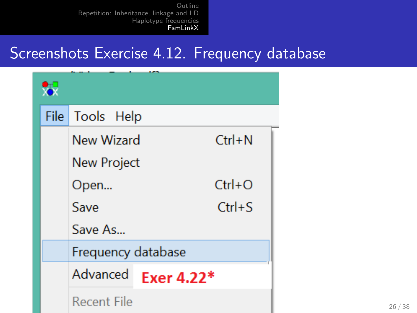#### Screenshots Exercise 4.12. Frequency database

| ₩ |                    |            |            |  |  |  |
|---|--------------------|------------|------------|--|--|--|
|   | File   Tools Help  |            |            |  |  |  |
|   | New Wizard         |            | $Ctrl + N$ |  |  |  |
|   | <b>New Project</b> |            |            |  |  |  |
|   | $Ctrl + O$<br>Open |            |            |  |  |  |
|   | Save               |            | $Ctrl + S$ |  |  |  |
|   | Save As            |            |            |  |  |  |
|   | Frequency database |            |            |  |  |  |
|   | Advanced           | Exer 4.22* |            |  |  |  |
|   | <b>Recent File</b> |            |            |  |  |  |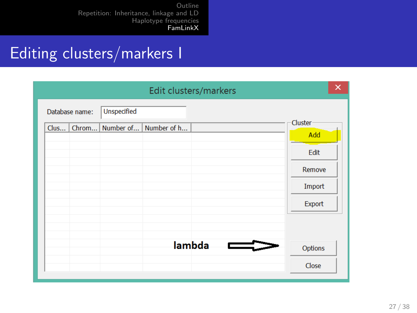### Editing clusters/markers I

|                |                         | Edit clusters/markers | ×              |
|----------------|-------------------------|-----------------------|----------------|
| Database name: | <b>Unspecified</b>      |                       |                |
| Chrom<br>Clus  | Number of   Number of h |                       | Cluster<br>Add |
|                |                         |                       | Edit           |
|                |                         |                       | Remove         |
|                |                         |                       | Import         |
|                |                         |                       | Export         |
|                |                         |                       |                |
|                |                         | lambda                | Options        |
|                |                         |                       | Close          |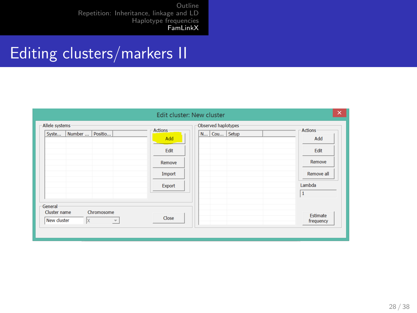## Editing clusters/markers II

|                                                                            | Edit cluster: New cluster                                   |                                    | $\times$                                                             |
|----------------------------------------------------------------------------|-------------------------------------------------------------|------------------------------------|----------------------------------------------------------------------|
| Allele systems<br>Number    Positio<br>Syste                               | <b>Actions</b><br>Add<br>Edit<br>Remove<br>Import<br>Export | Observed haplotypes<br>N Cou Setup | <b>Actions</b><br>Add<br>Edit<br>Remove<br>Remove all<br>Lambda<br>1 |
| General<br>Cluster name<br>Chromosome<br>New cluster<br>Ιx<br>$\mathbf{v}$ | Close                                                       |                                    | Estimate<br>frequency                                                |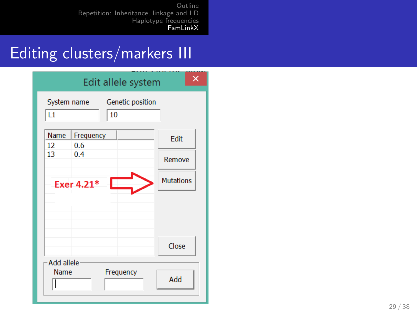## Editing clusters/markers III

|                           |                  | Edit allele system            | x                |
|---------------------------|------------------|-------------------------------|------------------|
| System name<br>L1         |                  | <b>Genetic position</b><br>10 |                  |
| <b>Name</b><br>12         | Frequency<br>0.6 |                               | Edit             |
| 13                        | 0.4              |                               | Remove           |
|                           | Exer 4.21*       |                               | <b>Mutations</b> |
|                           |                  |                               |                  |
|                           |                  |                               |                  |
|                           |                  |                               | Close            |
| Add allele<br><b>Name</b> |                  | Frequency                     | Add              |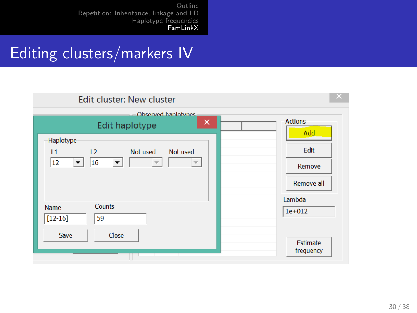### Editing clusters/markers IV

| Edit cluster: New cluster                                                                                                                              |                              |
|--------------------------------------------------------------------------------------------------------------------------------------------------------|------------------------------|
| Observed hanlotynes<br>$\sim$<br>×<br>Edit haplotype                                                                                                   | <b>Actions</b><br>Add        |
| Haplotype<br>Not used<br>Not used<br>L1<br>L <sub>2</sub><br> 12 <br>16<br>$\blacktriangledown$<br>$\overline{\mathbf{v}}$<br>$\overline{\phantom{a}}$ | Edit<br>Remove<br>Remove all |
| Counts<br><b>Name</b><br>$[12 - 16]$<br>59                                                                                                             | Lambda<br>$1e + 012$         |
| Close<br><b>Save</b>                                                                                                                                   | Estimate<br>frequency        |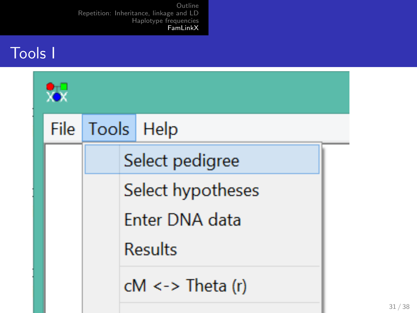#### Tools I

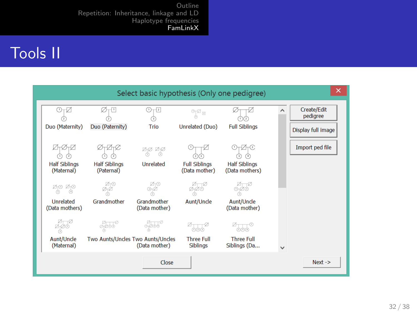### Tools II

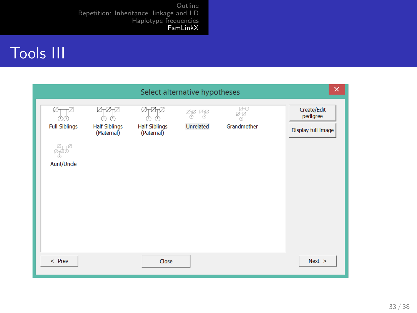# Tools III

|                                         |                                         |                                    | Select alternative hypotheses                                                           |                                                 | ×                                             |
|-----------------------------------------|-----------------------------------------|------------------------------------|-----------------------------------------------------------------------------------------|-------------------------------------------------|-----------------------------------------------|
| Ø<br><b>Full Siblings</b><br>Aunt/Uncle | ø<br><b>Half Siblings</b><br>(Maternal) | <b>Half Siblings</b><br>(Paternal) | $\frac{\mathbb{Z}_1}{\mathbb{O}}$ $\frac{\mathbb{Z}_1}{\mathbb{O}}$<br><b>Unrelated</b> | $\overline{\mathbb{Z}}_T^\infty$<br>Grandmother | Create/Edit<br>pedigree<br>Display full image |
| <- Prev                                 |                                         | Close                              |                                                                                         |                                                 | $Next ->$                                     |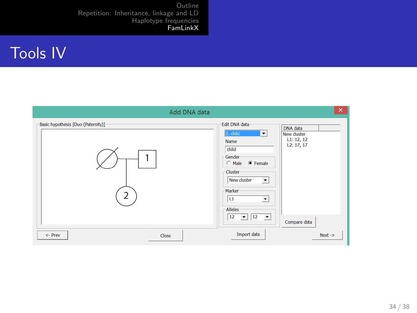# Tools IV

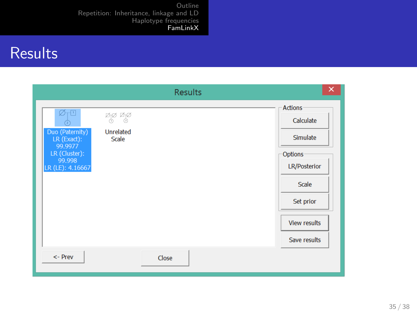## **Results**

|                                                                                                                                 |                                                       | <b>Results</b> | ×                                                                                                                                             |
|---------------------------------------------------------------------------------------------------------------------------------|-------------------------------------------------------|----------------|-----------------------------------------------------------------------------------------------------------------------------------------------|
| $\varnothing$ <sub>T</sub> U<br>C<br>Duo (Paternity)<br>$LR$ (Exact):<br>99.9977<br>LR (Cluster):<br>99.998<br>LR (LE): 4.16667 | Øø Øø<br>Ô)<br>Ô.<br><b>Unrelated</b><br><b>Scale</b> |                | <b>Actions</b><br>Calculate<br>Simulate<br><b>Options</b><br><b>LR/Posterior</b><br>Scale<br>Set prior<br><b>View results</b><br>Save results |
| <- Prev                                                                                                                         |                                                       | Close          |                                                                                                                                               |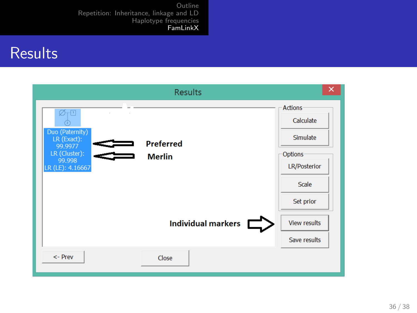#### **Results**

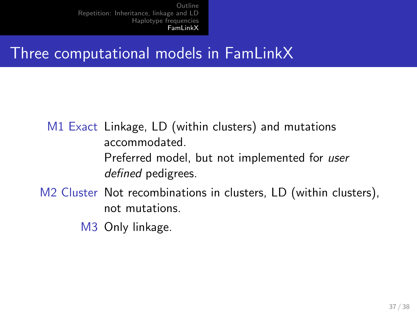### Three computational models in FamLinkX

M1 Exact Linkage, LD (within clusters) and mutations accommodated. Preferred model, but not implemented for user defined pedigrees.

- M2 Cluster Not recombinations in clusters, LD (within clusters), not mutations.
	- M3 Only linkage.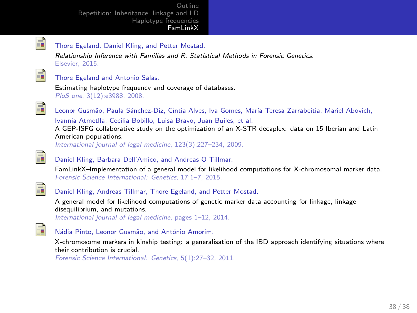<span id="page-37-5"></span>

#### Thore Egeland, Daniel Kling, and Petter Mostad.

Relationship Inference with Familias and R. Statistical Methods in Forensic Genetics. Elsevier, 2015.

<span id="page-37-4"></span>

#### Thore Egeland and Antonio Salas.

Estimating haplotype frequency and coverage of databases. PloS one, 3(12):e3988, 2008.

<span id="page-37-0"></span>

Leonor Gusmão, Paula Sánchez-Diz, Cíntia Alves, Iva Gomes, María Teresa Zarrabeitia, Mariel Abovich, Ivannia Atmetlla, Cecilia Bobillo, Luisa Bravo, Juan Builes, et al.

A GEP-ISFG collaborative study on the optimization of an X-STR decaplex: data on 15 Iberian and Latin American populations.

International journal of legal medicine, 123(3):227–234, 2009.

<span id="page-37-1"></span>

#### Daniel Kling, Barbara Dell'Amico, and Andreas O Tillmar.

FamLinkX–Implementation of a general model for likelihood computations for X-chromosomal marker data. Forensic Science International: Genetics, 17:1–7, 2015.

<span id="page-37-2"></span>

<span id="page-37-3"></span>ā.

#### Daniel Kling, Andreas Tillmar, Thore Egeland, and Petter Mostad.

A general model for likelihood computations of genetic marker data accounting for linkage, linkage disequilibrium, and mutations.

International journal of legal medicine, pages 1–12, 2014.



X-chromosome markers in kinship testing: a generalisation of the IBD approach identifying situations where their contribution is crucial.

Forensic Science International: Genetics, 5(1):27–32, 2011.